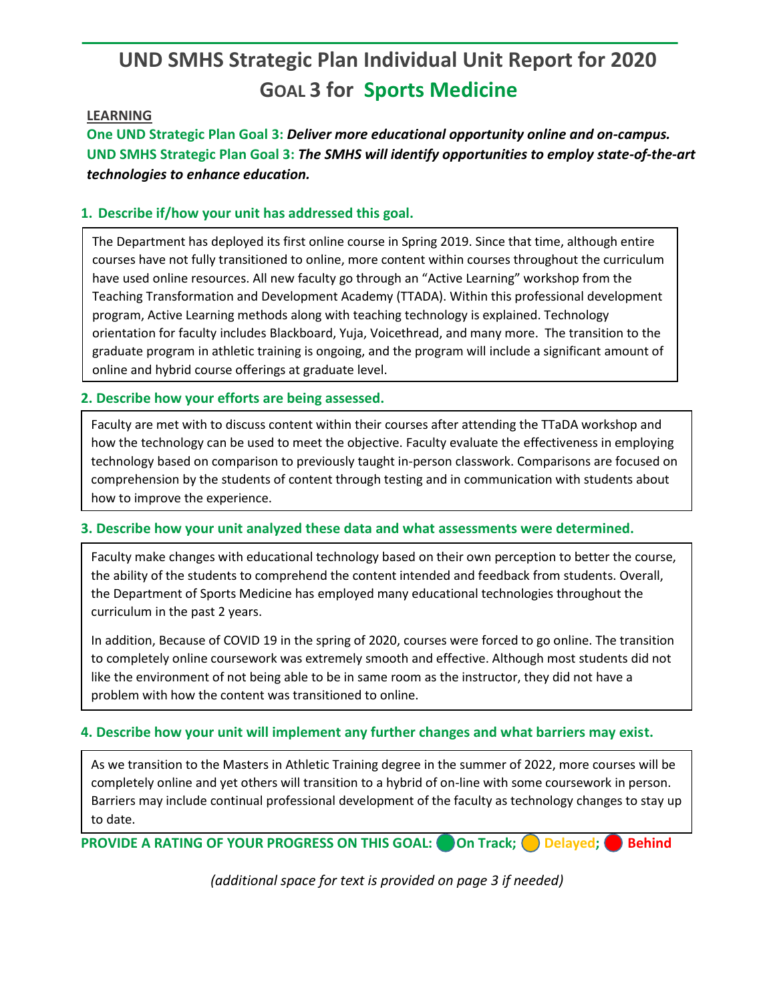# **UND SMHS Strategic Plan Individual Unit Report for 2020 GOAL 3 for Sports Medicine**

### **LEARNING**

**One UND Strategic Plan Goal 3:** *Deliver more educational opportunity online and on-campus.* **UND SMHS Strategic Plan Goal 3:** *The SMHS will identify opportunities to employ state-of-the-art technologies to enhance education.*

## **1. Describe if/how your unit has addressed this goal.**

The Department has deployed its first online course in Spring 2019. Since that time, although entire courses have not fully transitioned to online, more content within courses throughout the curriculum have used online resources. All new faculty go through an "Active Learning" workshop from the Teaching Transformation and Development Academy (TTADA). Within this professional development program, Active Learning methods along with teaching technology is explained. Technology orientation for faculty includes Blackboard, Yuja, Voicethread, and many more. The transition to the graduate program in athletic training is ongoing, and the program will include a significant amount of online and hybrid course offerings at graduate level.

#### **2. Describe how your efforts are being assessed.**

Faculty are met with to discuss content within their courses after attending the TTaDA workshop and how the technology can be used to meet the objective. Faculty evaluate the effectiveness in employing technology based on comparison to previously taught in-person classwork. Comparisons are focused on comprehension by the students of content through testing and in communication with students about how to improve the experience.

#### **3. Describe how your unit analyzed these data and what assessments were determined.**

Faculty make changes with educational technology based on their own perception to better the course, the ability of the students to comprehend the content intended and feedback from students. Overall, the Department of Sports Medicine has employed many educational technologies throughout the curriculum in the past 2 years.

In addition, Because of COVID 19 in the spring of 2020, courses were forced to go online. The transition to completely online coursework was extremely smooth and effective. Although most students did not like the environment of not being able to be in same room as the instructor, they did not have a problem with how the content was transitioned to online.

#### **4. Describe how your unit will implement any further changes and what barriers may exist.**

As we transition to the Masters in Athletic Training degree in the summer of 2022, more courses will be completely online and yet others will transition to a hybrid of on-line with some coursework in person. Barriers may include continual professional development of the faculty as technology changes to stay up to date.

**PROVIDE A RATING OF YOUR PROGRESS ON THIS GOAL:** On Track; Delayed; Behind

*(additional space for text is provided on page 3 if needed)*